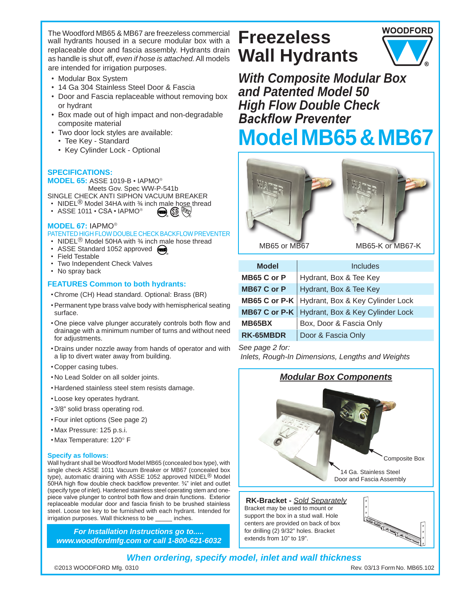The Woodford MB65 & MB67 are freezeless commercial wall hydrants housed in a secure modular box with a replaceable door and fascia assembly. Hydrants drain as handle is shut off, *even if hose is attached.* All models are intended for irrigation purposes.

- • Modular Box System
- 14 Ga 304 Stainless Steel Door & Fascia
- Door and Fascia replaceable without removing box or hydrant
- Box made out of high impact and non-degradable composite material
- Two door lock styles are available:
	- Tee Key Standard
	- Key Cylinder Lock Optional

### **SPECIFICATIONS:**

**MODEL 65:** ASSE 1019-B • IAPMO Meets Gov. Spec WW-P-541b

- SINGLE CHECK ANTI SIPHON VACUUM BREAKER
- NIDEL<sup>®</sup> Model 34HA with  $%$  inch male hose thread R ® **UPC** R
- ASSE 1011 CSA IAPMO®

#### **MODEL 67:** IAPMO

- PATENTED HIGH FLOW DOUBLE CHECK BACKFLOW PREVENTER
- NIDEL<sup>®</sup> Model 50HA with  $\frac{3}{4}$  inch male hose thread
- ASSE Standard 1052 approved (
- • Field Testable
- Two Independent Check Valves
- No spray back

#### **FEATURES Common to both hydrants:**

- • Chrome (CH) Head standard. Optional: Brass (BR)
- • Permanent type brass valve body with hemispherical seating surface.
- • One piece valve plunger accurately controls both flow and drainage with a minimum number of turns and without need for adjustments.
- • Drains under nozzle away from hands of operator and with a lip to divert water away from building.
- • Copper casing tubes.
- • No Lead Solder on all solder joints.
- Hardened stainless steel stem resists damage.
- • Loose key operates hydrant.
- • 3/8" solid brass operating rod.
- • Four inlet options (See page 2)
- • Max Pressure: 125 p.s.i.
- • Max Temperature: 120° F

#### **Specify as follows:**

Wall hydrant shall be Woodford Model MB65 (concealed box type), with single check ASSE 1011 Vacuum Breaker or MB67 (concealed box type), automatic draining with ASSE 1052 approved NIDEL<sup>®</sup> Model 50HA high flow double check backflow preventer. ¾" inlet and outlet (specify type of inlet). Hardened stainless steel operating stem and onepiece valve plunger to control both flow and drain functions. Exterior replaceable modular door and fascia finish to be brushed stainless steel. Loose tee key to be furnished with each hydrant. Intended for irrigation purposes. Wall thickness to be \_\_\_\_\_ inches.

*For Installation Instructions go to..... www.woodfordmfg.com or call 1-800-621-6032*

# **Freezeless Wall Hydrants**



*With Composite Modular Box and Patented Model 50 High Flow Double Check Backflow Preventer* **Model MB65 & MB67**



MB65 or MB67

MB65-K or MB67-K

| <b>Model</b>  | Includes                                                |
|---------------|---------------------------------------------------------|
| MB65 C or P   | Hydrant, Box & Tee Key                                  |
| MB67 C or P   | Hydrant, Box & Tee Key                                  |
|               | <b>MB65 C or P-K</b>   Hydrant, Box & Key Cylinder Lock |
|               | <b>MB67 C or P-K</b>   Hydrant, Box & Key Cylinder Lock |
| <b>MB65BX</b> | Box, Door & Fascia Only                                 |
| RK-65MBDR     | Door & Fascia Only                                      |

*See page 2 for: Inlets, Rough-In Dimensions, Lengths and Weights* 

# *Modular Box Components*



**RK-Bracket -** *Sold Separately* Bracket may be used to mount or support the box in a stud wall. Hole centers are provided on back of box for drilling (2) 9/32" holes. Bracket extends from 10" to 19".



# *When ordering, specify model, inlet and wall thickness*

©2013 WOODFORD Mfg. 0310 Rev. 03/13 FormNo. MB65.102